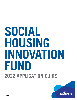# **2022 APPLICATION GUIDE SOCIAL HOUSING INNOVATION FUND**

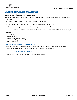



# WHAT IS THE SOCIAL HOUSING INNOVATION FUND?

#### **Better solutions that meet new requirements**

The Social Housing Innovation Fund is intended to help housing providers develop solutions to meet new challenges.

- $\checkmark$  Do you have an innovative solution to a problem or requirement?
- $\checkmark$  Are you interested in working with others to make your dollars go further?
- $\checkmark$  Do you want to implement an accessible project, training or initiative?
- $\checkmark$  Do you need some funding to implement an idea to enhance your site, business, board or community?

#### **Categories:**

- Accessibility
- Green Initiatives
- Recreation and Leisure Space
- Community Programs and Initiatives
- Capacity Building

#### **Submissions are due May 6, 2022 by 4:30 p.m.**

Completed and signed applications, with required supporting documents, must be submitted by the deadline by email (completed digital PDF, not a scanned copy or photocopy) to:

#### [housingproviderinfo@york.ca](mailto:housingproviderinfo%40york.ca?subject=)

Late submissions or incomplete applications will not be accepted.